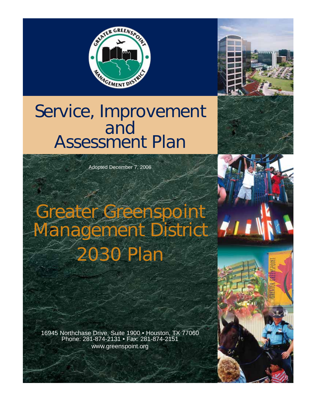

# Service, Improvement and Assessment Plan

Adopted December 7, 2006

# Greater Greenspoint Management District 2030 Plan

16945 Northchase Drive, Suite 1900 • Houston, TX 77060 Phone: 281-874-2131 • Fax: 281-874-2151 www.greenspoint.org



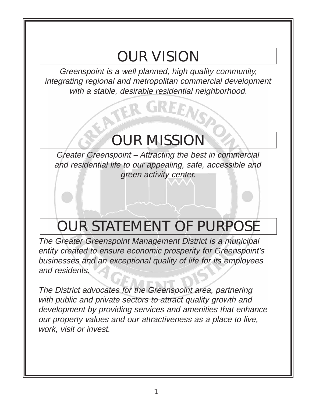# OUR VISION

Greenspoint is a well planned, high quality community, integrating regional and metropolitan commercial development with a stable, desirable residential neighborhood.

# OUR MISSION

Greater Greenspoint – Attracting the best in commercial and residential life to our appealing, safe, accessible and green activity center.

# OUR STATEMENT OF PURPOSE

The Greater Greenspoint Management District is a municipal entity created to ensure economic prosperity for Greenspoint's businesses and an exceptional quality of life for its employees and residents.

The District advocates for the Greenspoint area, partnering with public and private sectors to attract quality growth and development by providing services and amenities that enhance our property values and our attractiveness as a place to live, work, visit or invest.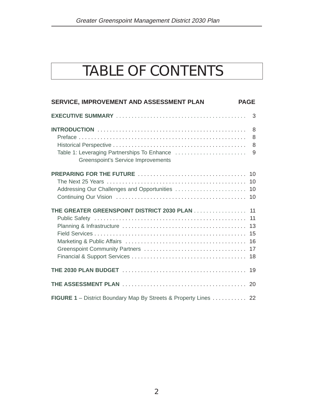# TABLE OF CONTENTS

| SERVICE, IMPROVEMENT AND ASSESSMENT PLAN                                          | <b>PAGE</b> |                  |
|-----------------------------------------------------------------------------------|-------------|------------------|
|                                                                                   |             | 3                |
| Table 1: Leveraging Partnerships To Enhance<br>Greenspoint's Service Improvements |             | 8<br>8<br>8<br>9 |
| Addressing Our Challenges and Opportunities                                       |             | 10<br>10         |
| THE GREATER GREENSPOINT DISTRICT 2030 PLAN  11                                    |             | 17<br>18         |
|                                                                                   |             |                  |
|                                                                                   |             |                  |
| FIGURE 1 - District Boundary Map By Streets & Property Lines  22                  |             |                  |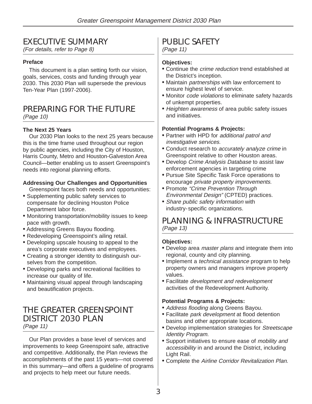# EXECUTIVE SUMMARY

(For details, refer to Page 8)

### **Preface**

This document is a plan setting forth our vision, goals, services, costs and funding through year 2030. This 2030 Plan will supersede the previous Ten-Year Plan (1997-2006).

# PREPARING FOR THE FUTURE

(Page 10)

### **The Next 25 Years**

Our 2030 Plan looks to the next 25 years because this is the time frame used throughout our region by public agencies, including the City of Houston, Harris County, Metro and Houston-Galveston Area Council—better enabling us to assert Greenspoint's needs into regional planning efforts.

### **Addressing Our Challenges and Opportunities**

- Greenspoint faces both needs and opportunities:
- Supplementing public safety services to compensate for declining Houston Police Department labor force.
- Monitoring transportation/mobility issues to keep pace with growth.
- Addressing Greens Bayou flooding.
- Redeveloping Greenspoint's ailing retail.
- Developing upscale housing to appeal to the area's corporate executives and employees.
- Creating a stronger identity to distinguish ourselves from the competition.
- Developing parks and recreational facilities to increase our quality of life.
- Maintaining visual appeal through landscaping and beautification projects.

# THE GREATER GREENSPOINT DISTRICT 2030 PLAN (Page 11)

Our Plan provides a base level of services and improvements to keep Greenspoint safe, attractive and competitive. Additionally, the Plan reviews the accomplishments of the past 15 years—not covered in this summary—and offers a guideline of programs and projects to help meet our future needs.

# PUBLIC SAFETY

(Page 11)

### **Objectives:**

- Continue the *crime reduction* trend established at the District's inception.
- Maintain *partnerships* with law enforcement to ensure highest level of service.
- Monitor code violations to eliminate safety hazards of unkempt properties.
- Heighten awareness of area public safety issues and initiatives.

### **Potential Programs & Projects:**

- Partner with HPD for additional patrol and investigative services.
- Conduct research to accurately analyze crime in Greenspoint relative to other Houston areas.
- Develop Crime Analysis Database to assist law enforcement agencies in targeting crime
- Pursue Site Specific Task Force operations to encourage private property improvements.
- Promote "Crime Prevention Through Environmental Design" (CPTED) practices.
- Share public safety information with industry-specific organizations.

# PLANNING & INFRASTRUCTURE (Page 13)

## **Objectives:**

- Develop area *master plans* and integrate them into regional, county and city planning.
- Implement a *technical assistance* program to help property owners and managers improve property values.
- Facilitate development and redevelopment activities of the Redevelopment Authority.

## **Potential Programs & Projects:**

- Address flooding along Greens Bayou.
- Facilitate park development at flood detention basins and other appropriate locations.
- Develop implementation strategies for Streetscape Identity Program.
- Support initiatives to ensure ease of mobility and accessibility in and around the District, including Light Rail.
- Complete the Airline Corridor Revitalization Plan.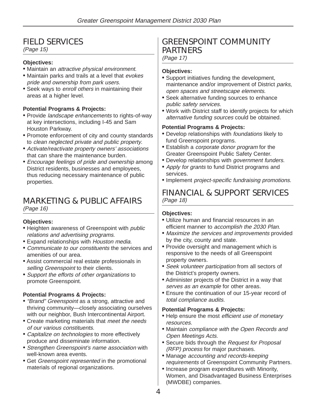# FIELD SERVICES

(Page 15)

## **Objectives:**

- Maintain an attractive physical environment.
- Maintain parks and trails at a level that evokes pride and ownership from park users.
- Seek ways to enroll others in maintaining their areas at a higher level.

### **Potential Programs & Projects:**

- Provide *landscape enhancements* to rights-of-way at key intersections, including I-45 and Sam Houston Parkway.
- Promote enforcement of city and county standards to clean neglected private and public property.
- Activate/reactivate property owners' associations that can share the maintenance burden.
- Encourage feelings of pride and ownership among District residents, businesses and employees, thus reducing necessary maintenance of public properties.

# MARKETING & PUBLIC AFFAIRS (Page 16)

## **Objectives:**

- Heighten awareness of Greenspoint with *public* relations and advertising programs.
- Expand relationships with Houston media.
- Communicate to our constituents the services and amenities of our area.
- Assist commercial real estate professionals in selling Greenspoint to their clients.
- Support the efforts of other organizations to promote Greenspoint.

## **Potential Programs & Projects:**

- "Brand" Greenspoint as a strong, attractive and thriving community—closely associating ourselves with our neighbor, Bush Intercontinental Airport.
- Create marketing materials that meet the needs of our various constituents.
- Capitalize on technologies to more effectively produce and disseminate information.
- Strengthen Greenspoint's name association with well-known area events.
- Get Greenspoint represented in the promotional materials of regional organizations.

# GREENSPOINT COMMUNITY PARTNERS

(Page 17)

### **Objectives:**

- Support initiatives funding the development, maintenance and/or improvement of District parks, open spaces and streetscape elements.
- Seek alternative funding sources to enhance public safety services.
- Work with District staff to identify projects for which alternative funding sources could be obtained.

### **Potential Programs & Projects:**

- Develop relationships with foundations likely to fund Greenspoint programs.
- Establish a corporate donor program for the Greater Greenspoint Public Safety Center.
- Develop relationships with *government funders*.
- Apply for grants to fund District programs and services.
- Implement project-specific fundraising promotions.

# FINANCIAL & SUPPORT SERVICES (Page 18)

## **Objectives:**

- Utilize human and financial resources in an efficient manner to accomplish the 2030 Plan.
- Maximize the services and improvements provided by the city, county and state.
- Provide oversight and management which is responsive to the needs of all Greenspoint property owners.
- Seek volunteer participation from all sectors of the District's property owners.
- Administer projects of the District in a way that serves as an example for other areas.
- Ensure the continuation of our 15-year record of total compliance audits.

### **Potential Programs & Projects:**

- Help ensure the most efficient use of monetary resources.
- Maintain compliance with the Open Records and Open Meetings Acts.
- Secure bids through the Request for Proposal (RFP) process for major purchases.
- Manage accounting and records-keeping requirements of Greenspoint Community Partners.
- Increase program expenditures with Minority, Women, and Disadvantaged Business Enterprises (MWDBE) companies.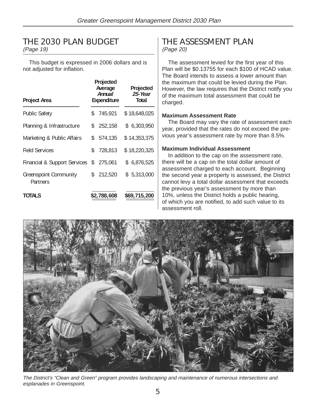## THE 2030 PLAN BUDGET (Page 19)

This budget is expressed in 2006 dollars and is not adjusted for inflation.

| <b>Project Area</b>                      | Projected<br>Average<br>Annual<br><b>Expenditure</b> |             | Projected<br>25-Year<br><b>Total</b> |              |
|------------------------------------------|------------------------------------------------------|-------------|--------------------------------------|--------------|
| <b>Public Safety</b>                     | \$                                                   | 745,921     |                                      | \$18,648,025 |
| Planning & Infrastructure                | \$                                                   | 252,158     |                                      | \$6,303,950  |
| Marketing & Public Affairs               | \$                                                   | 574,135     |                                      | \$14,353,375 |
| <b>Field Services</b>                    | \$                                                   | 728,813     |                                      | \$18,220,325 |
| Financial & Support Services             | \$                                                   | 275,061     |                                      | \$6,876,525  |
| <b>Greenspoint Community</b><br>Partners | \$                                                   | 212,520     |                                      | \$5,313,000  |
| <b>TOTALS</b>                            |                                                      | \$2,788,608 |                                      | \$69,715,200 |

## THE ASSESSMENT PLAN (Page 20)

The assessment levied for the first year of this Plan will be \$0.13755 for each \$100 of HCAD value. The Board intends to assess a lower amount than the maximum that could be levied during the Plan. However, the law requires that the District notify you of the maximum total assessment that could be charged.

#### **Maximum Assessment Rate**

The Board may vary the rate of assessment each year, provided that the rates do not exceed the previous year's assessment rate by more than 8.5%.

### **Maximum Individual Assessment**

In addition to the cap on the assessment rate, there will be a cap on the total dollar amount of assessment charged to each account. Beginning the second year a property is assessed, the District cannot levy a total dollar assessment that exceeds the previous year's assessment by more than 10%, unless the District holds a public hearing, of which you are notified, to add such value to its assessment roll.



The District's "Clean and Green" program provides landscaping and maintenance of numerous intersections and esplanades in Greenspoint.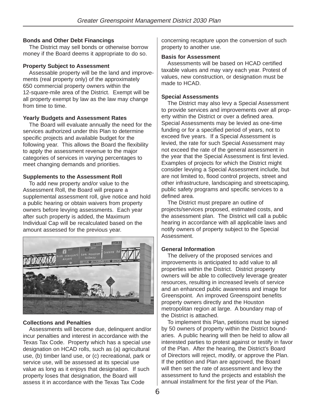#### **Bonds and Other Debt Financings**

The District may sell bonds or otherwise borrow money if the Board deems it appropriate to do so.

#### **Property Subject to Assessment**

Assessable property will be the land and improvements (real property only) of the approximately 650 commercial property owners within the 12-square-mile area of the District. Exempt will be all property exempt by law as the law may change from time to time.

#### **Yearly Budgets and Assessment Rates**

The Board will evaluate annually the need for the services authorized under this Plan to determine specific projects and available budget for the following year. This allows the Board the flexibility to apply the assessment revenue to the major categories of services in varying percentages to meet changing demands and priorities.

#### **Supplements to the Assessment Roll**

To add new property and/or value to the Assessment Roll, the Board will prepare a supplemental assessment roll, give notice and hold a public hearing or obtain waivers from property owners before levying assessments. Each year after such property is added, the Maximum Individual Cap will be recalculated based on the amount assessed for the previous year.



### **Collections and Penalties**

Assessments will become due, delinquent and/or incur penalties and interest in accordance with the Texas Tax Code. Property which has a special use designation on HCAD rolls, such as (a) agricultural use, (b) timber land use, or (c) recreational, park or service use, will be assessed at its special use value as long as it enjoys that designation. If such property loses that designation, the Board will assess it in accordance with the Texas Tax Code

concerning recapture upon the conversion of such property to another use.

#### **Basis for Assessment**

Assessments will be based on HCAD certified taxable values and may vary each year. Protest of values, new construction, or designation must be made to HCAD.

#### **Special Assessments**

The District may also levy a Special Assessment to provide services and improvements over all property within the District or over a defined area. Special Assessments may be levied as one-time funding or for a specified period of years, not to exceed five years. If a Special Assessment is levied, the rate for such Special Assessment may not exceed the rate of the general assessment in the year that the Special Assessment is first levied. Examples of projects for which the District might consider levying a Special Assessment include, but are not limited to, flood control projects, street and other infrastructure, landscaping and streetscaping, public safety programs and specific services to a defined area.

The District must prepare an outline of projects/services proposed, estimated costs, and the assessment plan. The District will call a public hearing in accordance with all applicable laws and notify owners of property subject to the Special Assessment.

### **General Information**

The delivery of the proposed services and improvements is anticipated to add value to all properties within the District. District property owners will be able to collectively leverage greater resources, resulting in increased levels of service and an enhanced public awareness and image for Greenspoint. An improved Greenspoint benefits property owners directly and the Houston metropolitan region at large. A boundary map of the District is attached.

To implement this Plan, petitions must be signed by 50 owners of property within the District boundaries. A public hearing will then be held to allow all interested parties to protest against or testify in favor of the Plan. After the hearing, the District's Board of Directors will reject, modify, or approve the Plan. If the petition and Plan are approved, the Board will then set the rate of assessment and levy the assessment to fund the projects and establish the annual installment for the first year of the Plan.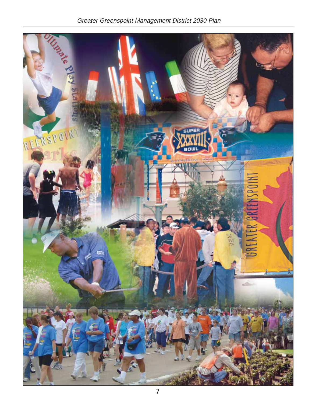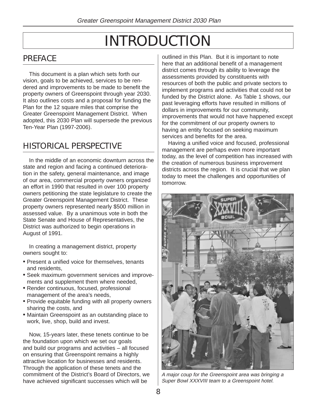# INTRODUCTION

# PREFACE

This document is a plan which sets forth our vision, goals to be achieved, services to be rendered and improvements to be made to benefit the property owners of Greenspoint through year 2030. It also outlines costs and a proposal for funding the Plan for the 12 square miles that comprise the Greater Greenspoint Management District. When adopted, this 2030 Plan will supersede the previous Ten-Year Plan (1997-2006).

# HISTORICAL PERSPECTIVE

In the middle of an economic downturn across the state and region and facing a continued deterioration in the safety, general maintenance, and image of our area, commercial property owners organized an effort in 1990 that resulted in over 100 property owners petitioning the state legislature to create the Greater Greenspoint Management District. These property owners represented nearly \$500 million in assessed value. By a unanimous vote in both the State Senate and House of Representatives, the District was authorized to begin operations in August of 1991.

In creating a management district, property owners sought to:

- Present a unified voice for themselves, tenants and residents,
- Seek maximum government services and improvements and supplement them where needed,
- Render continuous, focused, professional management of the area's needs,
- Provide equitable funding with all property owners sharing the costs, and
- Maintain Greenspoint as an outstanding place to work, live, shop, build and invest.

Now, 15-years later, these tenets continue to be the foundation upon which we set our goals and build our programs and activities – all focused on ensuring that Greenspoint remains a highly attractive location for businesses and residents. Through the application of these tenets and the commitment of the District's Board of Directors, we have achieved significant successes which will be

outlined in this Plan. But it is important to note here that an additional benefit of a management district comes through its ability to leverage the assessments provided by constituents with resources of both the public and private sectors to implement programs and activities that could not be funded by the District alone. As Table 1 shows, our past leveraging efforts have resulted in millions of dollars in improvements for our community, improvements that would not have happened except for the commitment of our property owners to having an entity focused on seeking maximum services and benefits for the area.

Having a unified voice and focused, professional management are perhaps even more important today, as the level of competition has increased with the creation of numerous business improvement districts across the region. It is crucial that we plan today to meet the challenges and opportunities of tomorrow.



A major coup for the Greenspoint area was bringing a Super Bowl XXXVIII team to a Greenspoint hotel.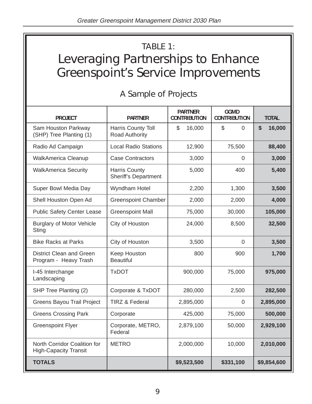# TABLE 1: Leveraging Partnerships to Enhance Greenspoint's Service Improvements

# A Sample of Projects

| <b>PROJECT</b>                                               | <b>PARTNER</b>                                      | <b>PARTNER</b><br><b>GGMD</b><br><b>CONTRIBUTION</b><br><b>CONTRIBUTION</b> |                | <b>TOTAL</b>                 |  |
|--------------------------------------------------------------|-----------------------------------------------------|-----------------------------------------------------------------------------|----------------|------------------------------|--|
| Sam Houston Parkway<br>(SHP) Tree Planting (1)               | Harris County Toll<br>Road Authority                | $\mathbb{S}$<br>16,000                                                      | \$<br>$\Omega$ | $\mathbf{\hat{s}}$<br>16,000 |  |
| Radio Ad Campaign                                            | <b>Local Radio Stations</b>                         | 12,900                                                                      | 75,500         | 88,400                       |  |
| <b>WalkAmerica Cleanup</b>                                   | <b>Case Contractors</b>                             | 3,000                                                                       | $\overline{0}$ | 3,000                        |  |
| <b>WalkAmerica Security</b>                                  | <b>Harris County</b><br><b>Sheriff's Department</b> | 5,000                                                                       | 400            | 5,400                        |  |
| Super Bowl Media Day                                         | Wyndham Hotel                                       | 2,200                                                                       | 1,300          | 3,500                        |  |
| Shell Houston Open Ad                                        | <b>Greenspoint Chamber</b>                          | 2,000                                                                       | 2,000          | 4,000                        |  |
| <b>Public Safety Center Lease</b>                            | <b>Greenspoint Mall</b>                             | 75,000                                                                      | 30,000         | 105,000                      |  |
| <b>Burglary of Motor Vehicle</b><br>Sting                    | City of Houston                                     | 24,000                                                                      | 8,500          | 32,500                       |  |
| <b>Bike Racks at Parks</b>                                   | City of Houston                                     | 3,500                                                                       | $\Omega$       | 3,500                        |  |
| <b>District Clean and Green</b><br>Program - Heavy Trash     | Keep Houston<br><b>Beautiful</b>                    | 800                                                                         | 900            | 1,700                        |  |
| I-45 Interchange<br>Landscaping                              | <b>TxDOT</b>                                        | 900,000                                                                     | 75,000         | 975,000                      |  |
| SHP Tree Planting (2)                                        | Corporate & TxDOT                                   | 280,000                                                                     | 2,500          | 282,500                      |  |
| <b>Greens Bayou Trail Project</b>                            | <b>TIRZ &amp; Federal</b>                           | 2,895,000                                                                   | $\Omega$       | 2,895,000                    |  |
| <b>Greens Crossing Park</b>                                  | Corporate                                           | 425,000                                                                     | 75,000         | 500,000                      |  |
| <b>Greenspoint Flyer</b>                                     | Corporate, METRO,<br>Federal                        | 2,879,100                                                                   | 50,000         | 2,929,100                    |  |
| North Corridor Coalition for<br><b>High-Capacity Transit</b> | <b>METRO</b>                                        | 2,000,000                                                                   | 10,000         | 2,010,000                    |  |
| <b>TOTALS</b>                                                |                                                     | \$9,523,500                                                                 | \$331,100      | \$9,854,600                  |  |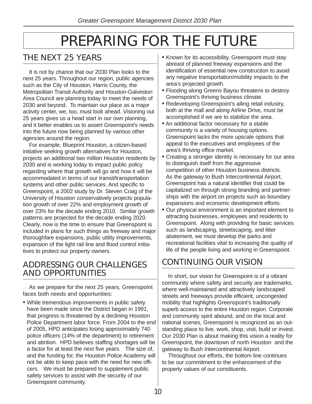# PREPARING FOR THE FUTURE

# THE NEXT 25 YEARS

It is not by chance that our 2030 Plan looks to the next 25 years. Throughout our region, public agencies such as the City of Houston, Harris County, the Metropolitan Transit Authority and Houston-Galveston Area Council are planning today to meet the needs of 2030 and beyond. To maintain our place as a major activity center, we, too, must look ahead. Visioning out 25 years gives us a head start in our own planning, and it better enables us to assert Greenspoint's needs into the future now being planned by various other agencies around the region.

For example, Blueprint Houston, a citizen-based initiative seeking growth alternatives for Houston, projects an additional two million Houston residents by 2030 and is working today to impact public policy regarding where that growth will go and how it will be accommodated in terms of our transit/transportation systems and other public services. And specific to Greenspoint, a 2002 study by Dr. Steven Craig of the University of Houston conservatively projects population growth of over 22% and employment growth of over 23% for the decade ending 2010. Similar growth patterns are projected for the decade ending 2020. Clearly, now is the time to ensure that Greenspoint is included in plans for such things as freeway and major thoroughfare expansions, public utility improvements, expansion of the light rail line and flood control initiatives to protect our property owners.

# ADDRESSING OUR CHALLENGES AND OPPORTUNITIES

As we prepare for the next 25 years, Greenspoint faces both needs and opportunities:

• While tremendous improvements in public safety have been made since the District began in 1991, that progress is threatened by a declining Houston Police Department labor force. From 2004 to the end of 2005, HPD anticipates losing approximately 740 police officers (14% of the department) to retirement and attrition. HPD believes staffing shortages will be a factor for at least the next five years. The size of, and the funding for, the Houston Police Academy will not be able to keep pace with the need for new officers. We must be prepared to supplement public safety services to assist with the security of our Greenspoint community.

- Known for its accessibility, Greenspoint must stay abreast of planned freeway expansions and the identification of essential new construction to avoid any negative transportation/mobility impacts to the area's projected growth.
- Flooding along Greens Bayou threatens to destroy Greenspoint's thriving business climate.
- Redeveloping Greenspoint's ailing retail industry, both at the mall and along Airline Drive, must be accomplished if we are to stabilize the area.
- An additional factor necessary for a stable community is a variety of housing options. Greenspoint lacks the more upscale options that appeal to the executives and employees of the area's thriving office market.
- Creating a stronger identity is necessary for our area to distinguish itself from the aggressive competition of other Houston business districts. As the gateway to Bush Intercontinental Airport, Greenspoint has a natural identifier that could be capitalized on through strong branding and partnerships with the airport on projects such as boundary expansions and economic development efforts.
- Our physical environment is an important element to attracting businesses, employees and residents to Greenspoint. Along with providing for basic services such as landscaping, streetscaping, and litter abatement, we must develop the parks and recreational facilities vital to increasing the quality of life of the people living and working in Greenspoint.

# CONTINUING OUR VISION

In short, our vision for Greenspoint is of a vibrant community where safety and security are trademarks, where well-maintained and attractively landscaped streets and freeways provide efficient, uncongested mobility that highlights Greenspoint's traditionally superb access to the entire Houston region. Corporate and community spirit abound, and on the local and national scenes, Greenspoint is recognized as an outstanding place to live, work, shop, visit, build or invest. Our 2030 Plan is about making this vision a reality for Greenspoint, the downtown of north Houston and the gateway to Bush Intercontinental Airport.

Throughout our efforts, the bottom line continues to be our commitment to the enhancement of the property values of our constituents.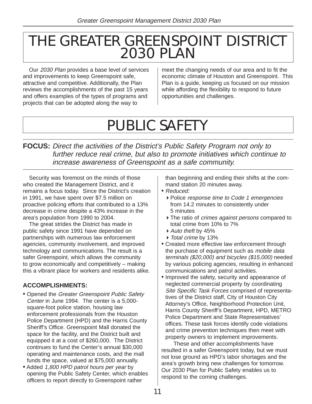# THE GREATER GREENSPOINT DISTRICT 2030 PLAN

Our 2030 Plan provides a base level of services and improvements to keep Greenspoint safe, attractive and competitive. Additionally, the Plan reviews the accomplishments of the past 15 years and offers examples of the types of programs and projects that can be adopted along the way to

meet the changing needs of our area and to fit the economic climate of Houston and Greenspoint. This Plan is a guide, keeping us focused on our mission while affording the flexibility to respond to future opportunities and challenges.

# PUBLIC SAFETY

**FOCUS:** Direct the activities of the District's Public Safety Program not only to further reduce real crime, but also to promote initiatives which continue to increase awareness of Greenspoint as a safe community.

Security was foremost on the minds of those who created the Management District, and it remains a focus today. Since the District's creation in 1991, we have spent over \$7.5 million on proactive policing efforts that contributed to a 13% decrease in crime despite a 43% increase in the area's population from 1990 to 2004.

The great strides the District has made in public safety since 1991 have depended on partnerships with numerous law enforcement agencies, community involvement, and improved technology and communications. The result is a safer Greenspoint, which allows the community to grow economically and competitively – making this a vibrant place for workers and residents alike.

# **ACCOMPLISHMENTS:**

- Opened the Greater Greenspoint Public Safety Center in June 1994. The center is a 5,000 square-foot police station, housing law enforcement professionals from the Houston Police Department (HPD) and the Harris County Sheriff's Office. Greenspoint Mall donated the space for the facility, and the District built and equipped it at a cost of \$260,000. The District continues to fund the Center's annual \$30,000 operating and maintenance costs, and the mall funds the space, valued at \$75,000 annually.
- Added 1,800 HPD patrol hours per year by opening the Public Safety Center, which enables officers to report directly to Greenspoint rather

than beginning and ending their shifts at the command station 20 minutes away.

- Reduced:
	- ▶ Police response time to Code 1 emergencies from 14.2 minutes to consistently under 5 minutes
	- The ratio of crimes against persons compared to total crime from 10% to 7%
	- ▶ Auto theft by 45%
	- ▶ Total crime by 13%
- Created more effective law enforcement through the purchase of equipment such as mobile data terminals (\$20,000) and bicycles (\$15,000) needed by various policing agencies, resulting in enhanced communications and patrol activities.
- Improved the safety, security and appearance of neglected commercial property by coordinating Site Specific Task Forces comprised of representatives of the District staff, City of Houston City Attorney's Office, Neighborhood Protection Unit, Harris County Sheriff's Department, HPD, METRO Police Department and State Representatives' offices. These task forces identify code violations and crime prevention techniques then meet with property owners to implement improvements.

These and other accomplishments have resulted in a safer Greenspoint today, but we must not lose ground as HPD's labor shortages and the area's growth bring new challenges for tomorrow. Our 2030 Plan for Public Safety enables us to respond to the coming challenges.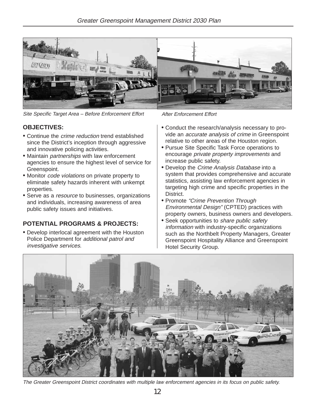

Site Specific Target Area – Before Enforcement Effort

## **OBJECTIVES:**

- Continue the crime reduction trend established since the District's inception through aggressive and innovative policing activities.
- Maintain *partnerships* with law enforcement agencies to ensure the highest level of service for Greenspoint.
- Monitor *code violations* on private property to eliminate safety hazards inherent with unkempt properties.
- Serve as a *resource* to businesses, organizations and individuals, increasing awareness of area public safety issues and initiatives.

## **POTENTIAL PROGRAMS & PROJECTS:**

• Develop interlocal agreement with the Houston Police Department for additional patrol and investigative services.

After Enforcement Effort

- Conduct the research/analysis necessary to provide an accurate analysis of crime in Greenspoint relative to other areas of the Houston region.
- Pursue Site Specific Task Force operations to encourage private property improvements and increase public safety.
- Develop the Crime Analysis Database into a system that provides comprehensive and accurate statistics, assisting law enforcement agencies in targeting high crime and specific properties in the District.
- Promote "Crime Prevention Through Environmental Design" (CPTED) practices with property owners, business owners and developers.
- Seek opportunities to share public safety information with industry-specific organizations such as the Northbelt Property Managers, Greater Greenspoint Hospitality Alliance and Greenspoint Hotel Security Group.



The Greater Greenspoint District coordinates with multiple law enforcement agencies in its focus on public safety.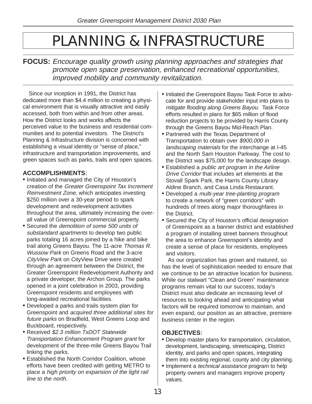# PLANNING & INFRASTRUCTURE

**FOCUS:** Encourage quality growth using planning approaches and strategies that promote open space preservation, enhanced recreational opportunities, improved mobility and community revitalization.

Since our inception in 1991, the District has dedicated more than \$4.4 million to creating a physical environment that is visually attractive and easily accessed, both from within and from other areas. How the District looks and works affects the perceived value to the business and residential communities and to potential investors. The District's Planning & Infrastructure division is concerned with establishing a visual identity or "sense of place," infrastructure and transportation improvements, and green spaces such as parks, trails and open spaces.

## **ACCOMPLISHMENTS**:

- Initiated and managed the City of Houston's creation of the Greater Greenspoint Tax Increment Reinvestment Zone, which anticipates investing \$250 million over a 30-year period to spark development and redevelopment activities throughout the area, ultimately increasing the overall value of Greenspoint commercial property.
- Secured the *demolition of some 500 units of* substandard apartments to develop two public parks totaling 16 acres joined by a hike and bike trail along Greens Bayou. The 11-acre Thomas R. Wussow Park on Greens Road and the 3-acre CityView Park on CityView Drive were created through an agreement between the District, the Greater Greenspoint Redevelopment Authority and a private developer, the Archon Group. The parks opened in a joint celebration in 2003, providing Greenspoint residents and employees with long-awaited recreational facilities.
- Developed a parks and trails system plan for Greenspoint and acquired three additional sites for future parks on Bradfield, West Greens Loop and Buckboard, respectively.
- Received \$2.3 million TxDOT Statewide Transportation Enhancement Program grant for development of the three-mile Greens Bayou Trail linking the parks.
- Established the North Corridor Coalition, whose efforts have been credited with getting METRO to place a high priority on expansion of the light rail line to the north.
- Initiated the Greenspoint Bayou Task Force to advocate for and provide stakeholder input into plans to mitigate flooding along Greens Bayou. Task Force efforts resulted in plans for \$65 million of flood reduction projects to be provided by Harris County through the Greens Bayou Mid-Reach Plan.
- Partnered with the Texas Department of Transportation to obtain over \$900,000 in landscaping materials for the interchange at I-45 and the North Sam Houston Parkway. The cost to the District was \$75,000 for the landscape design.
- Established a *public art program in the Airline* Drive Corridor that includes art elements at the Stovall Spark Park, the Harris County Library Aldine Branch, and Casa Linda Restaurant.
- Developed a multi-year tree-planting program to create a network of "green corridors" with hundreds of trees along major thoroughfares in the District.
- Secured the City of Houston's official designation of Greenspoint as a banner district and established a program of installing street banners throughout the area to enhance Greenspoint's identity and create a sense of place for residents, employees and visitors.

As our organization has grown and matured, so has the level of sophistication needed to ensure that we continue to be an attractive location for business. While our stalwart "Clean and Green" maintenance programs remain vital to our success, today's District must also dedicate an increasing level of resources to looking ahead and anticipating what factors will be required tomorrow to maintain, and even expand, our position as an attractive, premiere business center in the region.

## **OBJECTIVES**:

- Develop master plans for transportation, circulation, development, landscaping, streetscaping, District identity, and parks and open spaces, integrating them into existing regional, county and city planning.
- Implement a *technical assistance* program to help property owners and managers improve property values.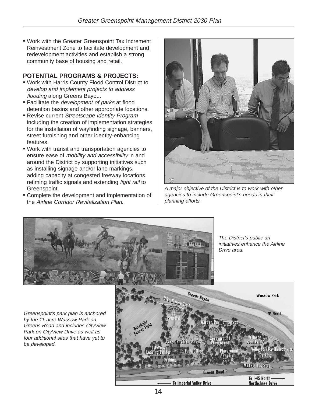• Work with the Greater Greenspoint Tax Increment Reinvestment Zone to facilitate development and redevelopment activities and establish a strong community base of housing and retail.

### **POTENTIAL PROGRAMS & PROJECTS:**

- Work with Harris County Flood Control District to develop and implement projects to address flooding along Greens Bayou.
- Facilitate the development of parks at flood detention basins and other appropriate locations.
- Revise current Streetscape Identity Program including the creation of implementation strategies for the installation of wayfinding signage, banners, street furnishing and other identity-enhancing features.
- Work with transit and transportation agencies to ensure ease of mobility and accessibility in and around the District by supporting initiatives such as installing signage and/or lane markings, adding capacity at congested freeway locations, retiming traffic signals and extending light rail to Greenspoint.
- Complete the development and implementation of the Airline Corridor Revitalization Plan.



A major objective of the District is to work with other agencies to include Greenspoint's needs in their planning efforts.



The District's public art initiatives enhance the Airline Drive area.

Greenspoint's park plan is anchored by the 11-acre Wussow Park on Greens Road and includes CityView Park on CityView Drive as well as four additional sites that have yet to be developed.

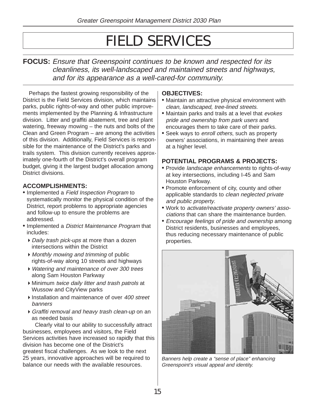# FIELD SERVICES

**FOCUS:** Ensure that Greenspoint continues to be known and respected for its cleanliness, its well-landscaped and maintained streets and highways, and for its appearance as a well-cared-for community.

Perhaps the fastest growing responsibility of the District is the Field Services division, which maintains parks, public rights-of-way and other public improvements implemented by the Planning & Infrastructure division. Litter and graffiti abatement, tree and plant watering, freeway mowing – the nuts and bolts of the Clean and Green Program – are among the activities of this division. Additionally, Field Services is responsible for the maintenance of the District's parks and trails system. This division currently receives approximately one-fourth of the District's overall program budget, giving it the largest budget allocation among District divisions.

## **ACCOMPLISHMENTS:**

- Implemented a Field Inspection Program to systematically monitor the physical condition of the District, report problems to appropriate agencies and follow-up to ensure the problems are addressed.
- Implemented a *District Maintenance Program* that includes:
	- Daily trash pick-ups at more than a dozen intersections within the District
	- **Monthly mowing and trimming of public** rights-of-way along 10 streets and highways
	- Watering and maintenance of over 300 trees along Sam Houston Parkway
	- **Minimum twice daily litter and trash patrols at** Wussow and CityView parks
	- Installation and maintenance of over 400 street banners
	- Graffiti removal and heavy trash clean-up on an as needed basis

Clearly vital to our ability to successfully attract businesses, employees and visitors, the Field Services activities have increased so rapidly that this division has become one of the District's greatest fiscal challenges. As we look to the next 25 years, innovative approaches will be required to balance our needs with the available resources.

### **OBJECTIVES:**

- Maintain an attractive physical environment with clean, landscaped, tree-lined streets.
- Maintain parks and trails at a level that evokes pride and ownership from park users and encourages them to take care of their parks.
- Seek ways to enroll others, such as property owners' associations, in maintaining their areas at a higher level.

## **POTENTIAL PROGRAMS & PROJECTS:**

- Provide landscape enhancements to rights-of-way at key intersections, including I-45 and Sam Houston Parkway.
- Promote enforcement of city, county and other applicable standards to clean neglected private and public property.
- Work to activate/reactivate property owners' associations that can share the maintenance burden.
- Encourage feelings of pride and ownership among District residents, businesses and employees, thus reducing necessary maintenance of public properties.



Banners help create a "sense of place" enhancing Greenspoint's visual appeal and identity.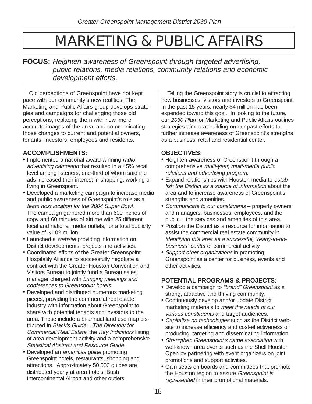# MARKETING & PUBLIC AFFAIRS

**FOCUS:** Heighten awareness of Greenspoint through targeted advertising, public relations, media relations, community relations and economic development efforts.

Old perceptions of Greenspoint have not kept pace with our community's new realities. The Marketing and Public Affairs group develops strategies and campaigns for challenging those old perceptions, replacing them with new, more accurate images of the area, and communicating those changes to current and potential owners, tenants, investors, employees and residents.

# **ACCOMPLISHMENTS:**

- Implemented a national award-winning radio advertising campaign that resulted in a 45% recall level among listeners, one-third of whom said the ads increased their interest in shopping, working or living in Greenspoint.
- Developed a marketing campaign to increase media and public awareness of Greenspoint's role as a team host location for the 2004 Super Bowl. The campaign garnered more than 600 inches of copy and 60 minutes of airtime with 25 different local and national media outlets, for a total publicity value of \$1.02 million.
- Launched a *website* providing information on District developments, projects and activities.
- Coordinated efforts of the Greater Greenspoint Hospitality Alliance to successfully negotiate a contract with the Greater Houston Convention and Visitors Bureau to jointly fund a Bureau sales manager charged with bringing meetings and conferences to Greenspoint hotels.
- Developed and distributed numerous marketing pieces, providing the commercial real estate industry with information about Greenspoint to share with potential tenants and investors to the area. These include a bi-annual land use map distributed in Black's Guide – The Directory for Commercial Real Estate, the Key Indicators listing of area development activity and a comprehensive Statistical Abstract and Resource Guide.
- Developed an *amenities guide* promoting Greenspoint hotels, restaurants, shopping and attractions. Approximately 50,000 guides are distributed yearly at area hotels, Bush Intercontinental Airport and other outlets.

Telling the Greenspoint story is crucial to attracting new businesses, visitors and investors to Greenspoint. In the past 15 years, nearly \$4 million has been expended toward this goal. In looking to the future, our 2030 Plan for Marketing and Public Affairs outlines strategies aimed at building on our past efforts to further increase awareness of Greenspoint's strengths as a business, retail and residential center.

## **OBJECTIVES:**

- Heighten awareness of Greenspoint through a comprehensive multi-year, multi-media public relations and advertising program.
- Expand relationships with Houston media to establish the District as a source of information about the area and to increase awareness of Greenspoint's strengths and amenities.
- Communicate to our constituents property owners and managers, businesses, employees, and the public – the services and amenities of this area.
- Position the District as a resource for information to assist the commercial real estate community in identifying this area as a successful, "ready-to-dobusiness" center of commercial activity.
- Support other organizations in promoting Greenspoint as a center for business, events and other activities.

# **POTENTIAL PROGRAMS & PROJECTS:**

- Develop a campaign to "brand" Greenspoint as a strong, attractive and thriving community.
- Continuously develop and/or update District marketing materials to meet the needs of our various constituents and target audiences.
- Capitalize on technologies such as the District website to increase efficiency and cost-effectiveness of producing, targeting and disseminating information.
- Strengthen Greenspoint's name association with well-known area events such as the Shell Houston Open by partnering with event organizers on joint promotions and support activities.
- Gain seats on boards and committees that promote the Houston region to assure Greenspoint is represented in their promotional materials.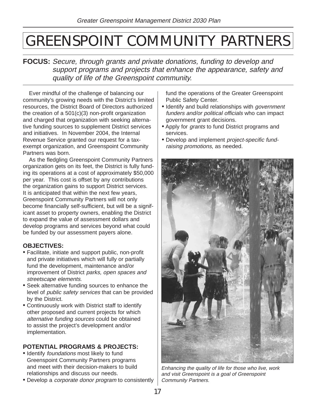# GREENSPOINT COMMUNITY PARTNERS

**FOCUS:** Secure, through grants and private donations, funding to develop and support programs and projects that enhance the appearance, safety and quality of life of the Greenspoint community.

Ever mindful of the challenge of balancing our community's growing needs with the District's limited resources, the District Board of Directors authorized the creation of a 501(c)(3) non-profit organization and charged that organization with seeking alternative funding sources to supplement District services and initiatives. In November 2004, the Internal Revenue Service granted our request for a taxexempt organization, and Greenspoint Community Partners was born.

As the fledgling Greenspoint Community Partners organization gets on its feet, the District is fully funding its operations at a cost of approximately \$50,000 per year. This cost is offset by any contributions the organization gains to support District services. It is anticipated that within the next few years, Greenspoint Community Partners will not only become financially self-sufficient, but will be a significant asset to property owners, enabling the District to expand the value of assessment dollars and develop programs and services beyond what could be funded by our assessment payers alone.

## **OBJECTIVES:**

- Facilitate, initiate and support public, non-profit and private initiatives which will fully or partially fund the development, maintenance and/or improvement of District parks, open spaces and streetscape elements.
- Seek alternative funding sources to enhance the level of *public safety services* that can be provided by the District.
- Continuously work with District staff to identify other proposed and current projects for which alternative funding sources could be obtained to assist the project's development and/or implementation.

# **POTENTIAL PROGRAMS & PROJECTS:**

- Identify foundations most likely to fund Greenspoint Community Partners programs and meet with their decision-makers to build relationships and discuss our needs.
- Develop a corporate donor program to consistently

fund the operations of the Greater Greenspoint Public Safety Center.

- Identify and build relationships with government funders and/or political officials who can impact government grant decisions.
- Apply for *grants* to fund District programs and services.
- Develop and implement project-specific fundraising promotions, as needed.



Enhancing the quality of life for those who live, work and visit Greenspoint is a goal of Greenspoint Community Partners.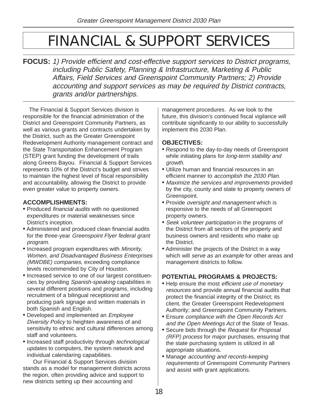# FINANCIAL & SUPPORT SERVICES

**FOCUS:** 1) Provide efficient and cost-effective support services to District programs, including Public Safety, Planning & Infrastructure, Marketing & Public Affairs, Field Services and Greenspoint Community Partners; 2) Provide accounting and support services as may be required by District contracts, grants and/or partnerships.

The Financial & Support Services division is responsible for the financial administration of the District and Greenspoint Community Partners, as well as various grants and contracts undertaken by the District, such as the Greater Greenspoint Redevelopment Authority management contract and the State Transportation Enhancement Program (STEP) grant funding the development of trails along Greens Bayou. Financial & Support Services represents 10% of the District's budget and strives to maintain the highest level of fiscal responsibility and accountability, allowing the District to provide even greater value to property owners.

## **ACCOMPLISHMENTS:**

- Produced financial audits with no questioned expenditures or material weaknesses since District's inception.
- Administered and produced clean financial audits for the three-year Greenspoint Flyer federal grant program.
- Increased program expenditures with Minority, Women, and Disadvantaged Business Enterprises (MWDBE) companies, exceeding compliance levels recommended by City of Houston.
- Increased service to one of our largest constituencies by providing Spanish-speaking capabilities in several different positions and programs, including recruitment of a bilingual receptionist and producing park signage and written materials in both Spanish and English.
- Developed and implemented an *Employee* Diversity Policy to heighten awareness of and sensitivity to ethnic and cultural differences among staff and volunteers.
- Increased staff productivity through technological updates to computers, the system network and individual calendaring capabilities.

Our Financial & Support Services division stands as a model for management districts across the region, often providing advice and support to new districts setting up their accounting and

management procedures. As we look to the future, this division's continued fiscal vigilance will contribute significantly to our ability to successfully implement this 2030 Plan.

## **OBJECTIVES:**

- Respond to the day-to-day needs of Greenspoint while initiating plans for *long-term stability and* growth.
- Utilize human and financial resources in an efficient manner to accomplish the 2030 Plan.
- Maximize the services and improvements provided by the city, county and state to property owners of Greenspoint.
- Provide oversight and management which is responsive to the needs of all Greenspoint property owners.
- Seek volunteer participation in the programs of the District from all sectors of the property and business owners and residents who make up the District.
- Administer the projects of the District in a way which will serve as an example for other areas and management districts to follow.

## **POTENTIAL PROGRAMS & PROJECTS:**

- Help ensure the most efficient use of monetary resources and provide annual financial audits that protect the financial integrity of the District; its client, the Greater Greenspoint Redevelopment Authority; and Greenspoint Community Partners.
- Ensure compliance with the Open Records Act and the Open Meetings Act of the State of Texas.
- Secure bids through the Request for Proposal (RFP) process for major purchases, ensuring that the state purchasing system is utilized in all appropriate situations.
- Manage accounting and records-keeping requirements of Greenspoint Community Partners and assist with grant applications.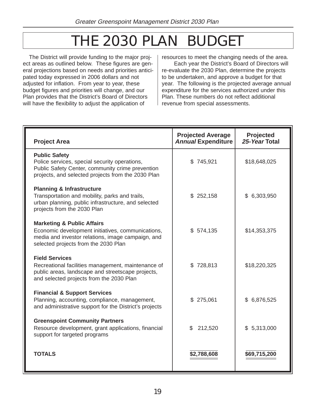# THE 2030 PLAN BUDGET

The District will provide funding to the major project areas as outlined below. These figures are general projections based on needs and priorities anticipated today expressed in 2006 dollars and not adjusted for inflation. From year to year, these budget figures and priorities will change, and our Plan provides that the District's Board of Directors will have the flexibility to adjust the application of

resources to meet the changing needs of the area.

Each year the District's Board of Directors will re-evaluate the 2030 Plan, determine the projects to be undertaken, and approve a budget for that year. The following is the projected average annual expenditure for the services authorized under this Plan. These numbers do not reflect additional revenue from special assessments.

| <b>Project Area</b>                                                                                                                                                                     | <b>Projected Average</b><br><b>Annual Expenditure</b> | <b>Projected</b><br>25-Year Total |
|-----------------------------------------------------------------------------------------------------------------------------------------------------------------------------------------|-------------------------------------------------------|-----------------------------------|
| <b>Public Safety</b><br>Police services, special security operations,<br>Public Safety Center, community crime prevention<br>projects, and selected projects from the 2030 Plan         | \$745,921                                             | \$18,648,025                      |
| <b>Planning &amp; Infrastructure</b><br>Transportation and mobility, parks and trails,<br>urban planning, public infrastructure, and selected<br>projects from the 2030 Plan            | \$252,158                                             | \$6,303,950                       |
| <b>Marketing &amp; Public Affairs</b><br>Economic development initiatives, communications,<br>media and investor relations, image campaign, and<br>selected projects from the 2030 Plan | \$574,135                                             | \$14,353,375                      |
| <b>Field Services</b><br>Recreational facilities management, maintenance of<br>public areas, landscape and streetscape projects,<br>and selected projects from the 2030 Plan            | \$728,813                                             | \$18,220,325                      |
| <b>Financial &amp; Support Services</b><br>Planning, accounting, compliance, management,<br>and administrative support for the District's projects                                      | \$275,061                                             | \$ 6,876,525                      |
| <b>Greenspoint Community Partners</b><br>Resource development, grant applications, financial<br>support for targeted programs                                                           | 212,520<br>\$.                                        | \$5,313,000                       |
| <b>TOTALS</b>                                                                                                                                                                           | \$2,788,608                                           | \$69,715,200                      |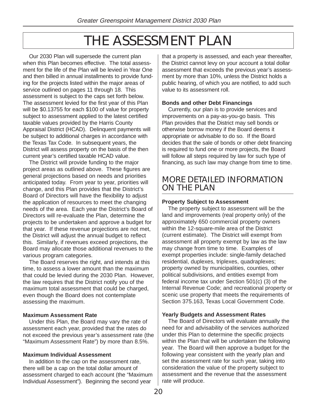# THE ASSESSMENT PLAN

Our 2030 Plan will supersede the current plan when this Plan becomes effective. The total assessment for the life of the Plan will be levied in Year One and then billed in annual installments to provide funding for the projects listed within the major areas of service outlined on pages 11 through 18. This assessment is subject to the caps set forth below. The assessment levied for the first year of this Plan will be \$0.13755 for each \$100 of value for property subject to assessment applied to the latest certified taxable values provided by the Harris County Appraisal District (HCAD). Delinquent payments will be subject to additional charges in accordance with the Texas Tax Code. In subsequent years, the District will assess property on the basis of the then current year's certified taxable HCAD value.

The District will provide funding to the major project areas as outlined above. These figures are general projections based on needs and priorities anticipated today. From year to year, priorities will change, and this Plan provides that the District's Board of Directors will have the flexibility to adjust the application of resources to meet the changing needs of the area. Each year the District's Board of Directors will re-evaluate the Plan, determine the projects to be undertaken and approve a budget for that year. If these revenue projections are not met, the District will adjust the annual budget to reflect this. Similarly, if revenues exceed projections, the Board may allocate those additional revenues to the various program categories.

The Board reserves the right, and intends at this time, to assess a lower amount than the maximum that could be levied during the 2030 Plan. However, the law requires that the District notify you of the maximum total assessment that could be charged, even though the Board does not contemplate assessing the maximum.

### **Maximum Assessment Rate**

Under this Plan, the Board may vary the rate of assessment each year, provided that the rates do not exceed the previous year's assessment rate (the "Maximum Assessment Rate") by more than 8.5%.

### **Maximum Individual Assessment**

In addition to the cap on the assessment rate, there will be a cap on the total dollar amount of assessment charged to each account (the "Maximum Individual Assessment"). Beginning the second year

that a property is assessed, and each year thereafter, the District cannot levy on your account a total dollar assessment that exceeds the previous year's assessment by more than 10%, unless the District holds a public hearing, of which you are notified, to add such value to its assessment roll.

### **Bonds and other Debt Financings**

Currently, our plan is to provide services and improvements on a pay-as-you-go basis. This Plan provides that the District may sell bonds or otherwise borrow money if the Board deems it appropriate or advisable to do so. If the Board decides that the sale of bonds or other debt financing is required to fund one or more projects, the Board will follow all steps required by law for such type of financing, as such law may change from time to time.

# MORE DETAILED INFORMATION ON THE PLAN

## **Property Subject to Assessment**

The property subject to assessment will be the land and improvements (real property only) of the approximately 650 commercial property owners within the 12-square-mile area of the District (current estimate). The District will exempt from assessment all property exempt by law as the law may change from time to time. Examples of exempt properties include: single-family detached residential, duplexes, triplexes, quadraplexes; property owned by municipalities, counties, other political subdivisions, and entities exempt from federal income tax under Section 501(c) (3) of the Internal Revenue Code; and recreational property or scenic use property that meets the requirements of Section 375.163, Texas Local Government Code.

### **Yearly Budgets and Assessment Rates**

The Board of Directors will evaluate annually the need for and advisability of the services authorized under this Plan to determine the specific projects within the Plan that will be undertaken the following year. The Board will then approve a budget for the following year consistent with the yearly plan and set the assessment rate for such year, taking into consideration the value of the property subject to assessment and the revenue that the assessment rate will produce.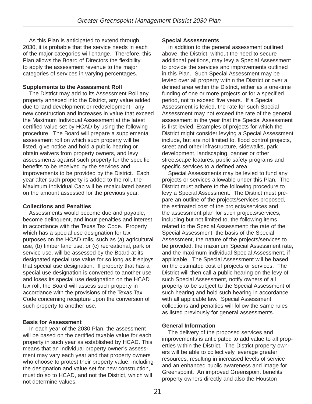As this Plan is anticipated to extend through 2030, it is probable that the service needs in each of the major categories will change. Therefore, this Plan allows the Board of Directors the flexibility to apply the assessment revenue to the major categories of services in varying percentages.

#### **Supplements to the Assessment Roll**

The District may add to its Assessment Roll any property annexed into the District, any value added due to land development or redevelopment, any new construction and increases in value that exceed the Maximum Individual Assessment at the latest certified value set by HCAD by using the following procedure. The Board will prepare a supplemental assessment roll on which such property will be listed, give notice and hold a public hearing or obtain waivers from property owners, and levy assessments against such property for the specific benefits to be received by the services and improvements to be provided by the District. Each year after such property is added to the roll, the Maximum Individual Cap will be recalculated based on the amount assessed for the previous year.

### **Collections and Penalties**

Assessments would become due and payable, become delinquent, and incur penalties and interest in accordance with the Texas Tax Code. Property which has a special use designation for tax purposes on the HCAD rolls, such as (a) agricultural use, (b) timber land use, or (c) recreational, park or service use, will be assessed by the Board at its designated special use value for so long as it enjoys that special use designation. If property that has a special use designation is converted to another use and loses its special use designation on the HCAD tax roll, the Board will assess such property in accordance with the provisions of the Texas Tax Code concerning recapture upon the conversion of such property to another use.

#### **Basis for Assessment**

In each year of the 2030 Plan, the assessment will be based on the certified taxable value for each property in such year as established by HCAD. This means that an individual property owner's assessment may vary each year and that property owners who choose to protest their property value, including the designation and value set for new construction, must do so to HCAD, and not the District, which will not determine values.

#### **Special Assessments**

In addition to the general assessment outlined above, the District, without the need to secure additional petitions, may levy a Special Assessment to provide the services and improvements outlined in this Plan. Such Special Assessment may be levied over all property within the District or over a defined area within the District, either as a one-time funding of one or more projects or for a specified period, not to exceed five years. If a Special Assessment is levied, the rate for such Special Assessment may not exceed the rate of the general assessment in the year that the Special Assessment is first levied. Examples of projects for which the District might consider levying a Special Assessment include, but are not limited to, flood control projects, street and other infrastructure, sidewalks, park development, landscaping, banner or other streetscape features, public safety programs and specific services to a defined area.

Special Assessments may be levied to fund any projects or services allowable under this Plan. The District must adhere to the following procedure to levy a Special Assessment. The District must prepare an outline of the projects/services proposed, the estimated cost of the projects/services and the assessment plan for such projects/services, including but not limited to, the following items related to the Special Assessment: the rate of the Special Assessment, the basis of the Special Assessment, the nature of the projects/services to be provided, the maximum Special Assessment rate, and the maximum individual Special Assessment, if applicable. The Special Assessment will be based on the estimated cost of projects or services. The District will then call a public hearing on the levy of such Special Assessment, notify owners of all property to be subject to the Special Assessment of such hearing and hold such hearing in accordance with all applicable law. Special Assessment collections and penalties will follow the same rules as listed previously for general assessments.

### **General Information**

The delivery of the proposed services and improvements is anticipated to add value to all properties within the District. The District property owners will be able to collectively leverage greater resources, resulting in increased levels of service and an enhanced public awareness and image for Greenspoint. An improved Greenspoint benefits property owners directly and also the Houston